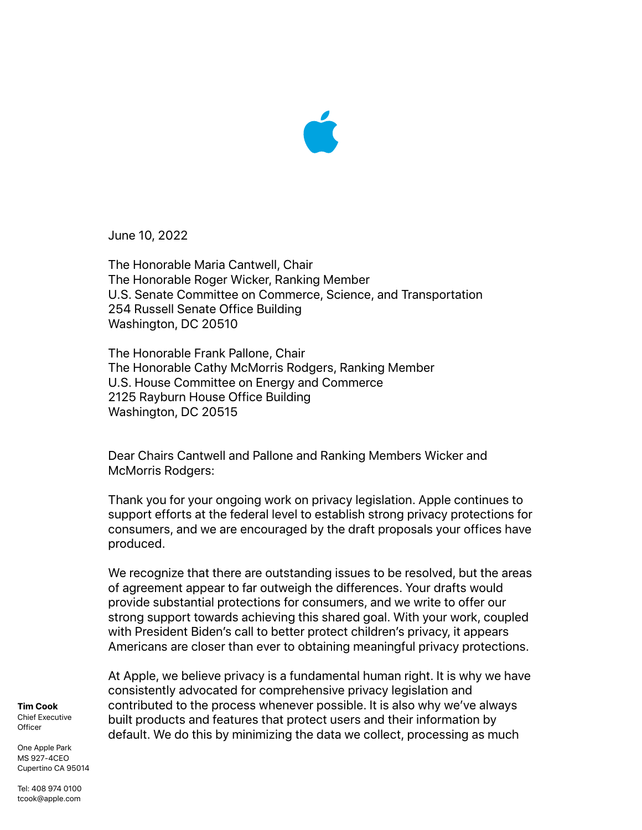

June 10, 2022

The Honorable Maria Cantwell, Chair The Honorable Roger Wicker, Ranking Member U.S. Senate Committee on Commerce, Science, and Transportation 254 Russell Senate Office Building Washington, DC 20510

The Honorable Frank Pallone, Chair The Honorable Cathy McMorris Rodgers, Ranking Member U.S. House Committee on Energy and Commerce 2125 Rayburn House Office Building Washington, DC 20515

Dear Chairs Cantwell and Pallone and Ranking Members Wicker and McMorris Rodgers:

Thank you for your ongoing work on privacy legislation. Apple continues to support efforts at the federal level to establish strong privacy protections for consumers, and we are encouraged by the draft proposals your offices have produced.

We recognize that there are outstanding issues to be resolved, but the areas of agreement appear to far outweigh the differences. Your drafts would provide substantial protections for consumers, and we write to offer our strong support towards achieving this shared goal. With your work, coupled with President Biden's call to better protect children's privacy, it appears Americans are closer than ever to obtaining meaningful privacy protections.

**Tim Cook** Chief Executive **Officer** 

One Apple Park MS 927-4CEO Cupertino CA 95014 At Apple, we believe privacy is a fundamental human right. It is why we have consistently advocated for comprehensive privacy legislation and contributed to the process whenever possible. It is also why we've always built products and features that protect users and their information by default. We do this by minimizing the data we collect, processing as much

Tel: 408 974 0100 tcook@apple.com